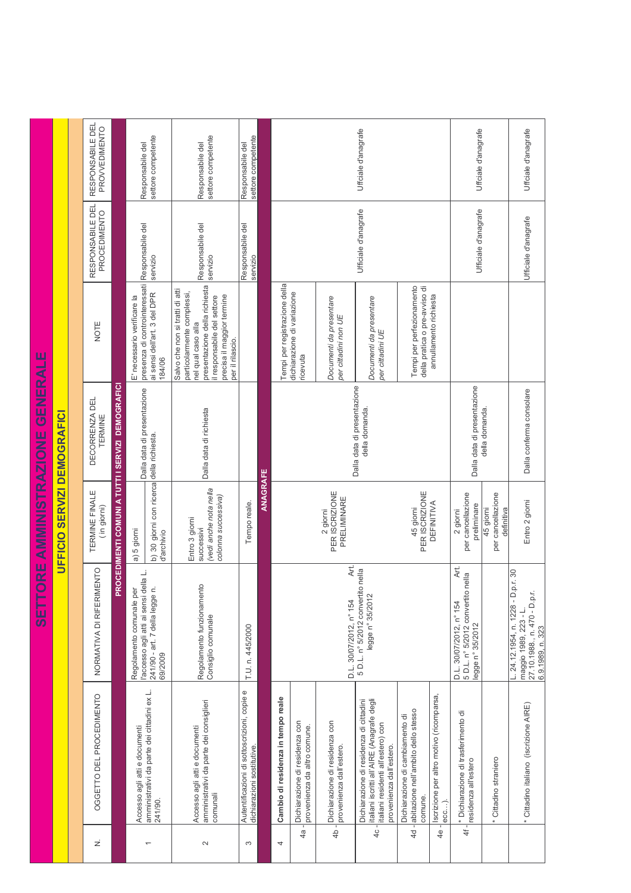|                              |                            | RESPONSABILE DEL<br>PROVVEDIMENTO |                                                  | settore competente<br>Responsabile del                                                                                  |                                                                                                                                                                                                                                                                                  | settore competente<br>Responsabile del                                               | settore competente<br>Responsabile del                                    |  |                                    |                                                                |                                                                 | Uffciale d'anagrafe                                                                                                                                     |                                                                                        |                                                   | Uffciale d'anagrafe                                                                      |                      | Uffciale d'anagrafe                                                                                             |
|------------------------------|----------------------------|-----------------------------------|--------------------------------------------------|-------------------------------------------------------------------------------------------------------------------------|----------------------------------------------------------------------------------------------------------------------------------------------------------------------------------------------------------------------------------------------------------------------------------|--------------------------------------------------------------------------------------|---------------------------------------------------------------------------|--|------------------------------------|----------------------------------------------------------------|-----------------------------------------------------------------|---------------------------------------------------------------------------------------------------------------------------------------------------------|----------------------------------------------------------------------------------------|---------------------------------------------------|------------------------------------------------------------------------------------------|----------------------|-----------------------------------------------------------------------------------------------------------------|
|                              |                            | RESPONSABILE DEL<br>PROCEDIMENTO  |                                                  | Responsabile del                                                                                                        | servizio                                                                                                                                                                                                                                                                         | Responsabile del<br>servizio                                                         | Responsabile del<br>servizio                                              |  |                                    |                                                                |                                                                 | Ufficiale d'anagrafe                                                                                                                                    |                                                                                        |                                                   | Ufficiale d'anagrafe                                                                     | Ufficiale d'anagrafe |                                                                                                                 |
| ORE AMMINISTRAZIONE GENERALE | <b>SERVIZI DEMOGRAFICI</b> | NOTE                              |                                                  | E' necessario verificare la                                                                                             | presenza di controinteressati<br>presentazione della richiesta<br>Salvo che non si tratti di atti<br>particolarmente complessi,<br>ai sensi dell'art. 3 del DPR<br>precisa il maggior termine<br>il responsabile del settore<br>nel qual caso alla<br>per il rilascio.<br>184/06 |                                                                                      |                                                                           |  | Tempi per registrazione della      | dichiarazione di variazione<br>ricevuta                        | Documenti da presentare<br>per cittadini non UE                 | Documenti da presentare<br>per cittadini UE                                                                                                             | Tempi per perfezionamento<br>della pratica o pre-avviso di                             | annullamento richiesta                            |                                                                                          |                      |                                                                                                                 |
|                              |                            | DECORRENZA DEL<br>TERMINE         | ROCEDIMENTI COMUNI A TUTTI I SERVIZI DEMOGRAFICI | Dalla data di presentazione                                                                                             |                                                                                                                                                                                                                                                                                  | Dalla data di richiesta                                                              |                                                                           |  |                                    |                                                                |                                                                 | Dalla data di presentazione<br>della domanda.                                                                                                           |                                                                                        |                                                   | Dalla data di presentazione                                                              | della domanda.       | Dalla conferma consolare                                                                                        |
|                              | UFFICIO                    | TERMINE FINALE<br>(in giorni)     |                                                  | a) 5 giorni                                                                                                             | b) 30 giorni con ricerca della richiesta.<br>d'archivio                                                                                                                                                                                                                          | (vedi anche nota nella<br>colonna successiva)<br>Entro 3 giorni<br>successivi        | <b>ANAGRAFE</b>                                                           |  |                                    | PER ISCRIZIONE<br>PRELIMINARE<br>2 giorni                      |                                                                 | <b>DEFINITIVA</b>                                                                                                                                       | per cancellazione<br>preliminare<br>2 giorni                                           | per cancellazione<br>45 giorni<br>definitiva      | Entro 2 giorni                                                                           |                      |                                                                                                                 |
| 1日の                          |                            | NORMATIVA DI RIFERIMENTO          | ௳                                                | l'accesso agli atti ai sensi della L<br>$\vec{c}$<br>Regolamento comunale per<br>241/90 - art. 7 della legge<br>69/2009 |                                                                                                                                                                                                                                                                                  | Regolamento funzionamento<br>Consiglio comunale                                      | T.U. n. 445/2000                                                          |  |                                    |                                                                | Āť.<br>D.L. 30/07/2012, n° 154                                  | 5 D.L. n° 5/2012 convertito nella<br>legge n° 35/2012                                                                                                   |                                                                                        |                                                   | Art.<br>5 D.L. n° 5/2012 convertito nella<br>D.L. 30/07/2012, n° 154<br>legge n° 35/2012 |                      | $L. 24.12.1954, n. 1228 - D.p.r. 30$<br>27.10.1988., n. 470 - D.p.r<br>maggio 1989, 223 - L<br>6.9.1989, n. 323 |
|                              |                            | OGGETTO DEL PROCEDIMENTO          |                                                  |                                                                                                                         | amministrativi da parte dei cittadini ex L.<br>241/90.                                                                                                                                                                                                                           | amministrativi da parte dei consiglieri<br>Accesso agli atti e documenti<br>comunali | Autentificazioni di sottoscrizioni, copie e<br>dichiarazioni sostitutive. |  | Cambio di residenza in tempo reale | Dichiarazione di residenza con<br>provenienza da altro comune. | 4b - Dichiarazione di residenza con<br>provenienza dall'estero. | italiani iscritti all'AIRE (Anagrafe degli<br>Dichiarazione di residenza di cittadini<br>italiani residenti all'estero) con<br>provenienza dall'estero. | 4d - abitazione nell'ambito dello stesso<br>Dichiarazione di cambiamento di<br>comune. | Iscrizione per altro motivo (ricomparsa,<br>ecc). | * Dichiarazione di trasferimento di<br>residenza all'estero                              | Cittadino straniero  | * Cittadino italiano (iscrizione AIRE)                                                                          |
|                              |                            | ż                                 |                                                  | Accesso agli atti e documenti                                                                                           |                                                                                                                                                                                                                                                                                  | $\sim$                                                                               | S                                                                         |  | 4                                  | $4a -$                                                         |                                                                 | $4c -$                                                                                                                                                  |                                                                                        | $\frac{4}{6}$                                     | 4f -                                                                                     |                      |                                                                                                                 |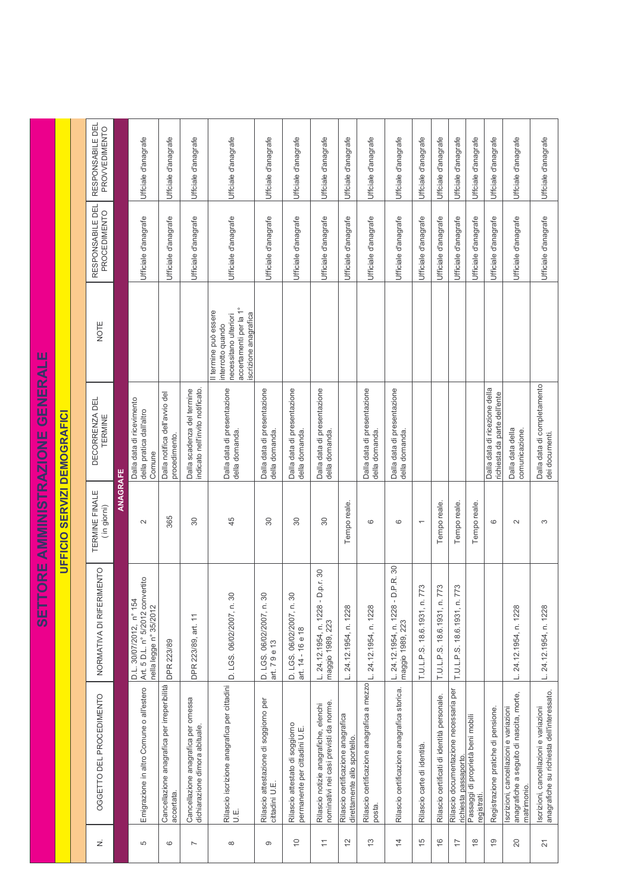|                              |                                | RESPONSABILE DEL<br>PROVVEDIMENTO   |          | Uffciale d'anagrafe                                                                   | Uffciale d'anagrafe                                       | Uffciale d'anagrafe                                                   | Uffciale d'anagrafe                                                                                                    | Uffciale d'anagrafe                                      | Uffciale d'anagrafe                                              | Uffciale d'anagrafe                                                             | Uffciale d'anagrafe                                                | Uffciale d'anagrafe                                  | Uffciale d'anagrafe                                    | Uffciale d'anagrafe                            | Uffciale d'anagrafe                         | Uffciale d'anagrafe                                             | Uffciale d'anagrafe                             | Uffciale d'anagrafe                                           | Uffciale d'anagrafe                                                                               | Uffciale d'anagrafe                                                                  |
|------------------------------|--------------------------------|-------------------------------------|----------|---------------------------------------------------------------------------------------|-----------------------------------------------------------|-----------------------------------------------------------------------|------------------------------------------------------------------------------------------------------------------------|----------------------------------------------------------|------------------------------------------------------------------|---------------------------------------------------------------------------------|--------------------------------------------------------------------|------------------------------------------------------|--------------------------------------------------------|------------------------------------------------|---------------------------------------------|-----------------------------------------------------------------|-------------------------------------------------|---------------------------------------------------------------|---------------------------------------------------------------------------------------------------|--------------------------------------------------------------------------------------|
| ORE AMMINISTRAZIONE GENERALE |                                | RESPONSABILE DEL<br>PROCEDIMENTO    |          | Ufficiale d'anagrafe                                                                  | Ufficiale d'anagrafe                                      | Ufficiale d'anagrafe                                                  | Ufficiale d'anagrafe                                                                                                   | Ufficiale d'anagrafe                                     | Ufficiale d'anagrafe                                             | Ufficiale d'anagrafe                                                            | Ufficiale d'anagrafe                                               | Ufficiale d'anagrafe                                 | Ufficiale d'anagrafe                                   | Ufficiale d'anagrafe                           | Ufficiale d'anagrafe                        | Ufficiale d'anagrafe                                            | Ufficiale d'anagrafe                            | Ufficiale d'anagrafe                                          | Ufficiale d'anagrafe                                                                              | Ufficiale d'anagrafe                                                                 |
|                              | SERVIZI DEMOGRAFICI<br>UFFICIO | NOTE                                |          |                                                                                       |                                                           |                                                                       | accertamenti per la 1º<br>Il termine può essere<br>iscrizione anagrafica<br>necessitano ulteriori<br>interrotto quando |                                                          |                                                                  |                                                                                 |                                                                    |                                                      |                                                        |                                                |                                             |                                                                 |                                                 |                                                               |                                                                                                   |                                                                                      |
|                              |                                | DECORRENZA DEL<br>TERMINE           |          | Dalla data di ricevimento<br>della pratica dall'altro<br>Comune                       | Dalla notifica dell'avvio del<br>procedimento.            | indicato nell'invito notificato.<br>Dalla scadenza del termine        | Dalla data di presentazione<br>della domanda.                                                                          | Dalla data di presentazione<br>della domanda             | Dalla data di presentazione<br>della domanda                     | Dalla data di presentazione<br>della domanda.                                   |                                                                    | Dalla data di presentazione<br>della domanda.        | Dalla data di presentazione<br>della domanda.          |                                                |                                             |                                                                 |                                                 | Dalla data di ricezione della<br>richiesta da parte dell'ente | Dalla data della<br>comunicazione.                                                                | Dalla data di completamento<br>dei documenti.                                        |
|                              |                                | TERMINE FINALE<br>(in giorni)       | ANAGRAFE | $\sim$                                                                                | 365                                                       | SO                                                                    | 45                                                                                                                     | $30\,$                                                   | 30                                                               | 30                                                                              | Tempo reale.                                                       | 6                                                    | $\circ$                                                | $\overline{\phantom{0}}$                       | Tempo reale.                                | Tempo reale.                                                    | Tempo reale                                     | $\circ$                                                       | $\sim$                                                                                            | S                                                                                    |
| 一切の                          |                                | <b>MENTO</b><br>NORMATIVA DI RIFERI |          | Art. 5 D.L. n° 5/2012 convertito<br>D.L. 30/07/2012, n° 154<br>nella legge n° 35/2012 | <b>DPR 223/89</b>                                         | DPR 223/89, art. 11                                                   | D. LGS. 06/02/2007, n. 30                                                                                              | D. LGS. 06/02/2007, n. 30<br>art. 79e13                  | D. LGS. 06/02/2007, n. 30<br>art. 14 - 16 e 18                   | L. 24.12.1954, n. 1228 - D.p.r. 30<br>maggio 1989, 223                          | 24.12.1954, n. 1228<br>≐                                           | 24.12.1954, n. 1228<br>ن                             | L. 24.12.1954, n. 1228 - D.P.R. 30<br>maggio 1989, 223 | $\mathcal{L}$<br>Ľ<br>T.U.L.P.S. 18.6.1931, n. | 51<br>T.U.L.P.S. 18.6.1931, n. 7            | P <sub>2</sub><br>18.6.1931, n.<br>T.U.L.P.S.                   |                                                 |                                                               | 24.12.1954, n. 1228<br>≐                                                                          | 24.12.1954, n. 1228<br>Ľ                                                             |
|                              |                                | OGGETTO DEL PROCEDIMENTO            |          | Emigrazione in altro Comune o all'estero                                              | Cancellazione anagrafica per irreperibilità<br>accertata. | Cancellazione anagrafica per omessa<br>dichiarazione dimora abituale. | Rilascio iscrizione anagrafica per cittadini<br>U.E.                                                                   | Rilascio attestazione di soggiorno per<br>cittadini U.E. | Rilascio attestato di soggiorno<br>permanente per cittadini U.E. | nominativi nei casi previsti da norme.<br>Rilascio notizie anagrafiche, elenchi | Rilascio certificazione anagrafica<br>direttamente allo sportello. | Rilascio certificazione anagrafica a mezzo<br>posta. | Rilascio certificazione anagrafica storica.            | Rilascio carte di identità.                    | Rilascio certificati di identità personale. | Rilascio documentazione necessaria per<br>richiesta passaporto. | Passaggi di proprietà beni mobili<br>registrati | Registrazione pratiche di pensione.                           | anagrafiche a seguito di nascita, morte,<br>Iscrizioni, cancellazioni e variazioni<br>matrimonio. | anagrafiche su richiesta dell'interessato.<br>Iscrizioni, cancellazioni e variazioni |
|                              |                                | ż                                   |          | Ю                                                                                     | $\circ$                                                   | $\overline{\phantom{a}}$                                              |                                                                                                                        | ၜ                                                        | $\overline{C}$                                                   | $\overline{\overline{}}$                                                        | $\frac{1}{2}$                                                      | $\frac{3}{2}$                                        | $\overline{4}$                                         | $\frac{5}{2}$                                  | $\frac{6}{1}$                               | 17                                                              | $\frac{8}{1}$                                   | $\frac{6}{5}$                                                 | 20                                                                                                | $\overline{2}$                                                                       |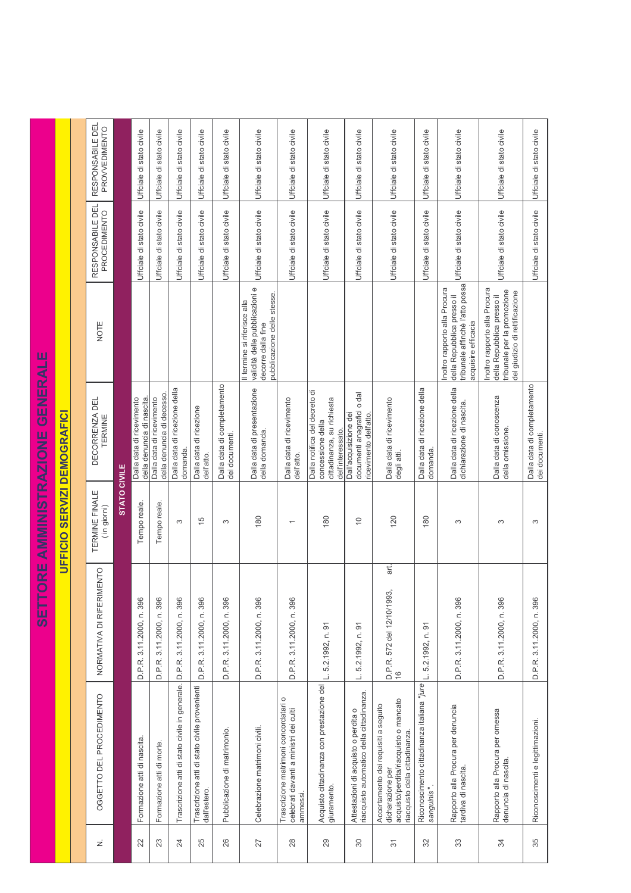|                                           |                            | RESPONSABILE DEI<br>PROVVEDIMENTO    |                     | Uffciale di stato civile                                | Uffciale di stato civile                               | Uffciale di stato civile                             | Uffciale di stato civile                                      | Uffciale di stato civile                      | Uffciale di stato civile                                                                                            | Uffciale di stato civile                                                                    | Uffciale di stato civile                                                                              | Uffciale di stato civile                                                          | Uffciale di stato civile                                                                                                            | Uffciale di stato civile                                  | Uffciale di stato civile                                                                                              | Uffciale di stato civile                                                                                                     | Uffciale di stato civile                      |
|-------------------------------------------|----------------------------|--------------------------------------|---------------------|---------------------------------------------------------|--------------------------------------------------------|------------------------------------------------------|---------------------------------------------------------------|-----------------------------------------------|---------------------------------------------------------------------------------------------------------------------|---------------------------------------------------------------------------------------------|-------------------------------------------------------------------------------------------------------|-----------------------------------------------------------------------------------|-------------------------------------------------------------------------------------------------------------------------------------|-----------------------------------------------------------|-----------------------------------------------------------------------------------------------------------------------|------------------------------------------------------------------------------------------------------------------------------|-----------------------------------------------|
|                                           |                            | RESPONSABILE DEL<br>PROCEDIMENTO     |                     | Uffciale di stato civile                                | Uffciale di stato civile                               | Uffciale di stato civile<br>Uffciale di stato civile |                                                               | Uffciale di stato civile                      | Uffciale di stato civile                                                                                            | Uffciale di stato civile                                                                    | Uffciale di stato civile                                                                              | Uffciale di stato civile                                                          | Uffciale di stato civile                                                                                                            | Uffciale di stato civile                                  | Uffciale di stato civile                                                                                              | Uffciale di stato civile                                                                                                     | Uffciale di stato civile                      |
|                                           |                            | NOTE                                 |                     |                                                         |                                                        |                                                      |                                                               |                                               | validità delle pubblicazioni e<br>pubblicazione delle stesse.<br>Il termine si riferisce alla<br>decorre dalla fine |                                                                                             |                                                                                                       |                                                                                   |                                                                                                                                     |                                                           | tribunale affinchè l'atto possa<br>Inoltro rapporto alla Procura<br>della Repubblica presso il<br>acquisire efficacia | Inoltro rapporto alla Procura<br>tribunale per la promozione<br>del giudizio di rettificazione<br>della Repubblica presso il |                                               |
| TORE AMMINISTRAZIONE GENERALE<br>1回<br>50 | <b>SERVIZI DEMOGRAFICI</b> | DECORRENZA DEL<br>TERMINE            |                     | della denuncia di nascita.<br>Dalla data di ricevimento | della denuncia di decesso<br>Dalla data di ricevimento | Dalla data di ricezione della<br>domanda.            | Dalla data di ricezione<br>dell'atto.                         | Dalla data di completamento<br>dei documenti. | Dalla data di presentazione<br>della domanda.                                                                       | Dalla data di ricevimento<br>dell'atto.                                                     | Dalla notifica del decreto di<br>cittadinanza, su richiesta<br>concessione della<br>dell'interessato. | documenti anagrafici o dal<br>Dall'acquisizione dei<br>ricevimento dell'atto      | Dalla data di ricevimento<br>degli atti.                                                                                            | Dalla data di ricezione della<br>domanda.                 | Dalla data di ricezione della<br>dichiarazione di nascita.                                                            | Dalla data di conoscenza<br>della omissione.                                                                                 | Dalla data di completamento<br>dei documenti. |
|                                           | UFFICIO                    | <b>TERMINE FINALE</b><br>(in giorni) | <b>STATO CIVILE</b> | Tempo reale.                                            | Tempo reale.                                           | S                                                    | 15                                                            | S                                             | 180                                                                                                                 | $\overline{\phantom{0}}$                                                                    | 180                                                                                                   | $\overline{0}$                                                                    | 120                                                                                                                                 | 180                                                       | S                                                                                                                     | S                                                                                                                            | S                                             |
|                                           |                            | NORMATIVA DI RIFERIMENTO             |                     | D.P.R. 3.11.2000, n. 396                                | 3.11.2000, n. 396<br>D.P.R.                            | 3.11.2000, n. 396<br>D.P.R.                          | 396<br>3.11.2000, n.<br>D.P.R.                                | D.P.R. 3.11.2000, n. 396                      | D.P.R. 3.11.2000, n. 396                                                                                            | D.P.R. 3.11.2000, n. 396                                                                    | 5.2.1992, n. 91                                                                                       | 5.2.1992, n. 91<br>ن                                                              | art.<br><u>က်</u><br>D.P.R. 572 del 12/10/199<br>16                                                                                 | $\overline{9}$<br>5.2.1992, n.                            | D.P.R. 3.11.2000, n. 396                                                                                              | D.P.R. 3.11.2000, n. 396                                                                                                     | D.P.R. 3.11.2000, n. 396                      |
|                                           |                            | OGGETTO DEL PROCEDIMENTO             |                     | Formazione atti di nascita.                             | Formazione atti di morte                               | Trascrizione atti di stato civile in generale.       | Trascrizione atti di stato civile provenienti<br>dall'estero. | Pubblicazione di matrimonio.                  | Celebrazione matrimoni civili.                                                                                      | Trascrizione matrimoni concordatari o<br>celebrati davanti a ministri dei culti<br>ammessi. | Acquisto cittadinanza con prestazione del<br>giuramento.                                              | riacquisto automatico della cittadinanza.<br>Attestazioni di acquisto o perdita o | acquisto/perdita/riacquisto o mancato<br>Accertamento dei requisiti a seguito<br>riacquisto della cittadinanza.<br>dicharazione per | Riconoscimento cittadinanza italiana "jure<br>sanguinis". | Rapporto alla Procura per denuncia<br>tardiva di nascita.                                                             | Rapporto alla Procura per omessa<br>denuncia di nascita.                                                                     | Riconoscimenti e legittimazioni.              |
|                                           |                            | ż                                    |                     | 22                                                      | 23                                                     | 24                                                   | 25                                                            | 26                                            | 27                                                                                                                  | 28                                                                                          | 29                                                                                                    | 30                                                                                | $\overline{5}$                                                                                                                      | 32                                                        | 33                                                                                                                    | 34                                                                                                                           | 35                                            |